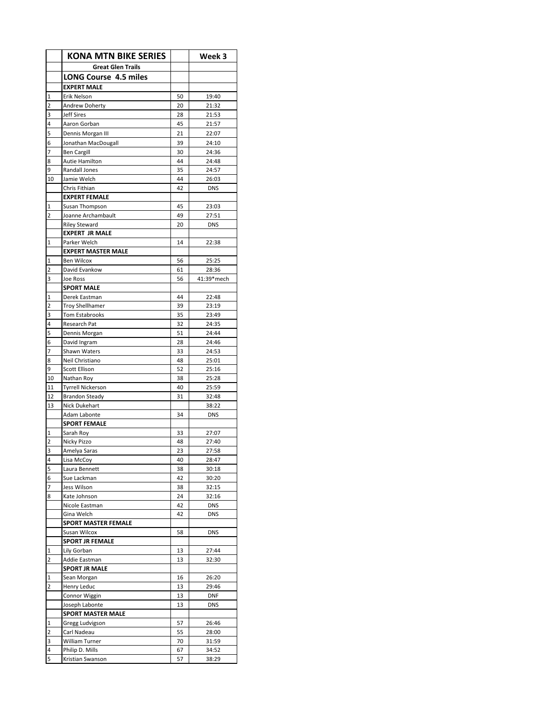|                     | <b>KONA MTN BIKE SERIES</b>            |          | Week 3              |
|---------------------|----------------------------------------|----------|---------------------|
|                     | <b>Great Glen Trails</b>               |          |                     |
|                     | <b>LONG Course 4.5 miles</b>           |          |                     |
|                     | <b>EXPERT MALE</b>                     |          |                     |
| $\mathbf 1$         | <b>Erik Nelson</b>                     | 50       | 19:40               |
| $\overline{2}$      | Andrew Doherty                         | 20       | 21:32               |
| 3                   | <b>Jeff Sires</b>                      | 28       | 21:53               |
| 4                   | Aaron Gorban                           | 45       | 21:57               |
| 5                   | Dennis Morgan III                      | 21       | 22:07               |
| 6                   | Jonathan MacDougall                    | 39       | 24:10               |
| 7                   | <b>Ben Cargill</b>                     | 30       | 24:36               |
| 8                   | <b>Autie Hamilton</b>                  | 44       | 24:48               |
| 9                   | Randall Jones                          | 35       | 24:57               |
| 10                  | Jamie Welch                            | 44       | 26:03               |
|                     | Chris Fithian                          | 42       | <b>DNS</b>          |
|                     | <b>EXPERT FEMALE</b>                   |          |                     |
| 1<br>$\overline{2}$ | Susan Thompson<br>Joanne Archambault   | 45<br>49 | 23:03<br>27:51      |
|                     | <b>Riley Steward</b>                   | 20       | <b>DNS</b>          |
|                     | <b>EXPERT JR MALE</b>                  |          |                     |
| $\mathbf{1}$        | Parker Welch                           | 14       | 22:38               |
|                     | <b>EXPERT MASTER MALE</b>              |          |                     |
| $\mathbf{1}$        | <b>Ben Wilcox</b>                      | 56       | 25:25               |
| $\overline{2}$      | David Evankow                          | 61       | 28:36               |
| 3                   | Joe Ross                               | 56       | 41:39*mech          |
|                     | <b>SPORT MALE</b>                      |          |                     |
| $\mathbf{1}$        | Derek Eastman                          | 44       | 22:48               |
| $\overline{2}$      | <b>Troy Shellhamer</b>                 | 39       | 23:19               |
| 3                   | Tom Estabrooks                         | 35       | 23:49               |
| 4                   | Research Pat                           | 32       | 24:35               |
| 5                   | Dennis Morgan                          | 51       | 24:44               |
| 6                   | David Ingram                           | 28       | 24:46               |
| $\overline{7}$      | Shawn Waters                           | 33       | 24:53               |
| 8                   | Neil Christiano                        | 48       | 25:01               |
| 9                   | Scott Ellison                          | 52       | 25:16               |
| 10                  | Nathan Roy                             | 38       | 25:28               |
| 11                  | <b>Tyrrell Nickerson</b>               | 40       | 25:59               |
| 12                  | <b>Brandon Steady</b><br>Nick Dukehart | 31       | 32:48               |
| 13                  | Adam Labonte                           | 34       | 38:22<br><b>DNS</b> |
|                     | <b>SPORT FEMALE</b>                    |          |                     |
| 1                   | Sarah Roy                              | 33       | 27:07               |
| $\overline{2}$      | Nicky Pizzo                            | 48       | 27:40               |
| 3                   | Amelya Saras                           | 23       | 27:58               |
| 4                   | Lisa McCoy                             | 40       | 28:47               |
| 5                   | Laura Bennett                          | 38       | 30:18               |
| 6                   | Sue Lackman                            | 42       | 30:20               |
| $\overline{7}$      | Jess Wilson                            | 38       | 32:15               |
| 8                   | Kate Johnson                           | 24       | 32:16               |
|                     | Nicole Eastman                         | 42       | <b>DNS</b>          |
|                     | Gina Welch                             | 42       | <b>DNS</b>          |
|                     | <b>SPORT MASTER FEMALE</b>             |          |                     |
|                     | Susan Wilcox                           | 58       | <b>DNS</b>          |
|                     | <b>SPORT JR FEMALE</b>                 |          |                     |
| $\mathbf{1}$        | Lily Gorban                            | 13       | 27:44               |
| $\overline{2}$      | Addie Eastman                          | 13       | 32:30               |
|                     | <b>SPORT JR MALE</b>                   |          |                     |
| 1<br>$\overline{2}$ | Sean Morgan<br>Henry Leduc             | 16<br>13 | 26:20<br>29:46      |
|                     | Connor Wiggin                          | 13       | <b>DNF</b>          |
|                     | Joseph Labonte                         | 13       | <b>DNS</b>          |
|                     | <b>SPORT MASTER MALE</b>               |          |                     |
| $\mathbf{1}$        | Gregg Ludvigson                        | 57       | 26:46               |
| 2                   | Carl Nadeau                            | 55       | 28:00               |
| 3                   | William Turner                         | 70       | 31:59               |
| 4                   | Philip D. Mills                        | 67       | 34:52               |
| 5                   | Kristian Swanson                       | 57       | 38:29               |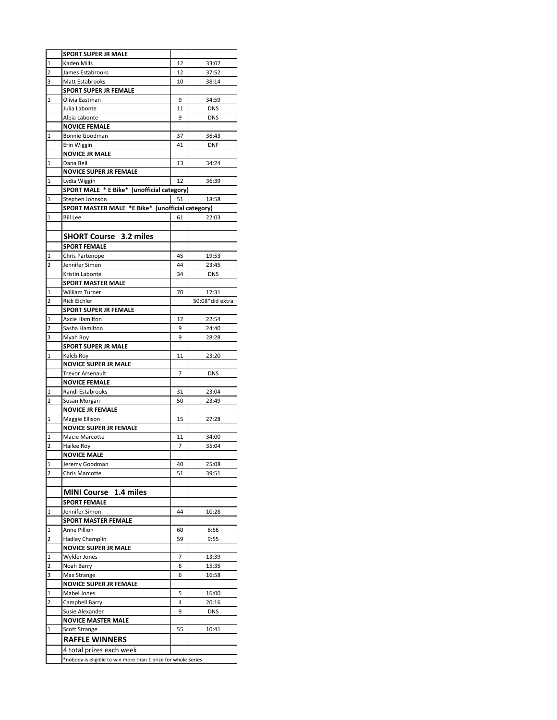|                  | <b>SPORT SUPER JR MALE</b>                                                         |    |                     |  |  |
|------------------|------------------------------------------------------------------------------------|----|---------------------|--|--|
| $\mathbf{1}$     | Kaden Mills                                                                        | 12 | 33:02               |  |  |
| $\overline{2}$   | James Estabrooks                                                                   | 12 | 37:52               |  |  |
| 3                | Matt Estabrooks                                                                    | 10 | 38:14               |  |  |
|                  | <b>SPORT SUPER JR FEMALE</b>                                                       |    |                     |  |  |
| 1                | Olivia Eastman                                                                     | 9  | 34:59               |  |  |
|                  | Julia Labonte                                                                      | 11 | <b>DNS</b>          |  |  |
|                  | Aleia Labonte                                                                      | 9  | <b>DNS</b>          |  |  |
|                  | <b>NOVICE FEMALE</b>                                                               |    |                     |  |  |
| $\mathbf 1$      | Bonnie Goodman                                                                     | 37 | 36:43               |  |  |
|                  | Erin Wiggin                                                                        | 41 | <b>DNF</b>          |  |  |
|                  | <b>NOVICE JR MALE</b>                                                              |    |                     |  |  |
| $\mathbf 1$      | Dana Bell                                                                          | 13 | 34:24               |  |  |
|                  | <b>NOVICE SUPER JR FEMALE</b>                                                      |    |                     |  |  |
| 1                | Lydia Wiggin                                                                       | 12 | 36:39               |  |  |
|                  | SPORT MALE * E Bike* (unofficial category)                                         |    |                     |  |  |
| 1                |                                                                                    |    |                     |  |  |
|                  | Stephen Johnson<br>51<br>18:58<br>SPORT MASTER MALE *E Bike* (unofficial category) |    |                     |  |  |
| $\mathbf{1}$     | Bill Lee                                                                           | 61 | 22:03               |  |  |
|                  |                                                                                    |    |                     |  |  |
|                  | <b>SHORT Course 3.2 miles</b>                                                      |    |                     |  |  |
|                  | <b>SPORT FEMALE</b>                                                                |    |                     |  |  |
|                  |                                                                                    | 45 |                     |  |  |
| $\mathbf 1$<br>2 | Chris Partenope<br>Jennifer Simon                                                  | 44 | 19:53               |  |  |
|                  | Kristin Labonte                                                                    | 34 | 23:45<br><b>DNS</b> |  |  |
|                  | <b>SPORT MASTER MALE</b>                                                           |    |                     |  |  |
| 1                | William Turner                                                                     | 70 | 17:31               |  |  |
| 2                | <b>Rick Eichler</b>                                                                |    | 50:08*did extra     |  |  |
|                  | <b>SPORT SUPER JR FEMALE</b>                                                       |    |                     |  |  |
| 1                | Axcie Hamilton                                                                     | 12 | 22:54               |  |  |
| 2                | Sasha Hamilton                                                                     | 9  | 24:40               |  |  |
| 3                | Myah Roy                                                                           | 9  | 28:28               |  |  |
|                  | <b>SPORT SUPER JR MALE</b>                                                         |    |                     |  |  |
| 1                | Kaleb Roy                                                                          | 11 | 23:20               |  |  |
|                  | <b>NOVICE SUPER JR MALE</b>                                                        |    |                     |  |  |
|                  | <b>Trevor Arsenault</b>                                                            | 7  | <b>DNS</b>          |  |  |
|                  | <b>NOVICE FEMALE</b>                                                               |    |                     |  |  |
| 1                | Randi Estabrooks                                                                   | 31 | 23:04               |  |  |
| 2                | Susan Morgan                                                                       | 50 | 23:49               |  |  |
|                  | <b>NOVICE JR FEMALE</b>                                                            |    |                     |  |  |
| 1                | Maggie Ellison                                                                     | 15 | 27:28               |  |  |
|                  | <b>NOVICE SUPER JR FEMALE</b>                                                      |    |                     |  |  |
| $\mathbf{1}$     | Macie Marcotte                                                                     | 11 | 34:00               |  |  |
| $\overline{2}$   | Hailee Roy                                                                         | 7  | 35:04               |  |  |
|                  | <b>NOVICE MALE</b>                                                                 |    |                     |  |  |
| 1                | Jeremy Goodman                                                                     | 40 | 25:08               |  |  |
| 2                | <b>Chris Marcotte</b>                                                              | 51 | 39:51               |  |  |
|                  |                                                                                    |    |                     |  |  |
|                  | MINI Course 1.4 miles                                                              |    |                     |  |  |
|                  | <b>SPORT FEMALE</b>                                                                |    |                     |  |  |
| 1                | Jennifer Simon                                                                     | 44 | 10:28               |  |  |
|                  | <b>SPORT MASTER FEMALE</b>                                                         |    |                     |  |  |
| 1                | Anne Pillion                                                                       | 60 | 8:56                |  |  |
| 2                | Hadley Champlin                                                                    | 59 | 9:55                |  |  |
|                  | <b>NOVICE SUPER JR MALE</b>                                                        |    |                     |  |  |
| 1                | Wylder Jones                                                                       | 7  | 13:39               |  |  |
| 2                | Noah Barry                                                                         | 6  | 15:35               |  |  |
| 3                | Max Strange                                                                        | 6  | 16:58               |  |  |
|                  | NOVICE SUPER JR FEMALE                                                             |    |                     |  |  |
| 1                | Mabel Jones                                                                        | 5  | 16:00               |  |  |
| 2                | Campbell Barry                                                                     | 4  | 20:16               |  |  |
|                  | Susie Alexander                                                                    | 9  | <b>DNS</b>          |  |  |
|                  | <b>NOVICE MASTER MALE</b>                                                          |    |                     |  |  |
| 1                | <b>Scott Strange</b>                                                               | 55 | 10:41               |  |  |
|                  | <b>RAFFLE WINNERS</b>                                                              |    |                     |  |  |
|                  | 4 total prizes each week                                                           |    |                     |  |  |
|                  | *nobody is eligible to win more than 1 prize for whole Series                      |    |                     |  |  |